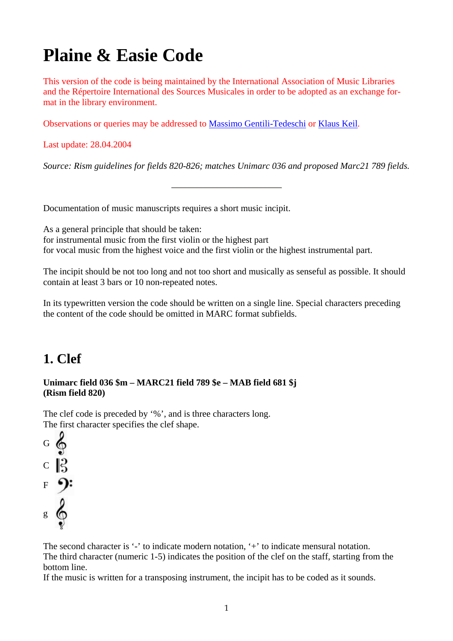# **Plaine & Easie Code**

This version of the code is being maintained by the International Association of Music Libraries and the Répertoire International des Sources Musicales in order to be adopted as an exchange format in the library environment.

Observations or queries may be addressed to Massimo Gentili-Tedeschi or Klaus Keil.

Last update: 28.04.2004

*Source: Rism guidelines for fields 820-826; matches Unimarc 036 and proposed Marc21 789 fields.*

Documentation of music manuscripts requires a short music incipit.

As a general principle that should be taken: for instrumental music from the first violin or the highest part for vocal music from the highest voice and the first violin or the highest instrumental part.

The incipit should be not too long and not too short and musically as senseful as possible. It should contain at least 3 bars or 10 non-repeated notes.

In its typewritten version the code should be written on a single line. Special characters preceding the content of the code should be omitted in MARC format subfields.

## **1. Clef**

#### **Unimarc field 036 \$m – MARC21 field 789 \$e – MAB field 681 \$j (Rism field 820)**

The clef code is preceded by '%', and is three characters long. The first character specifies the clef shape.



The second character is '-' to indicate modern notation, '+' to indicate mensural notation. The third character (numeric 1-5) indicates the position of the clef on the staff, starting from the bottom line.

If the music is written for a transposing instrument, the incipit has to be coded as it sounds.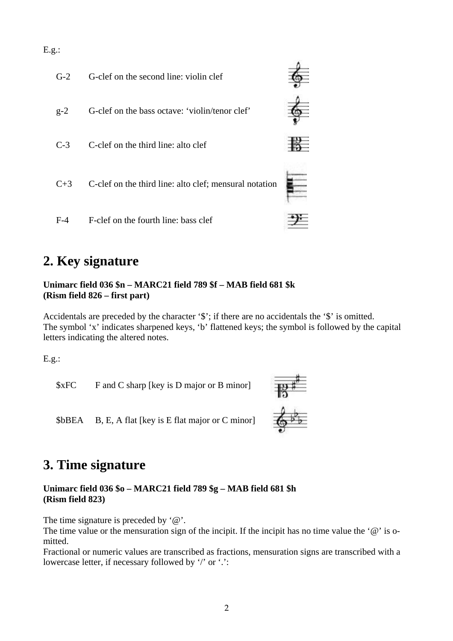

## **2. Key signature**

#### **Unimarc field 036 \$n – MARC21 field 789 \$f – MAB field 681 \$k (Rism field 826 – first part)**

Accidentals are preceded by the character '\$'; if there are no accidentals the '\$' is omitted. The symbol 'x' indicates sharpened keys, 'b' flattened keys; the symbol is followed by the capital letters indicating the altered notes.

E.g.:

\$xFC F and C sharp [key is D major or B minor]



\$bBEA B, E, A flat [key is E flat major or C minor]

## **3. Time signature**

#### **Unimarc field 036 \$o – MARC21 field 789 \$g – MAB field 681 \$h (Rism field 823)**

The time signature is preceded by '@'.

The time value or the mensuration sign of the incipit. If the incipit has no time value the ' $@$ ' is omitted.

Fractional or numeric values are transcribed as fractions, mensuration signs are transcribed with a lowercase letter, if necessary followed by '/' or '.':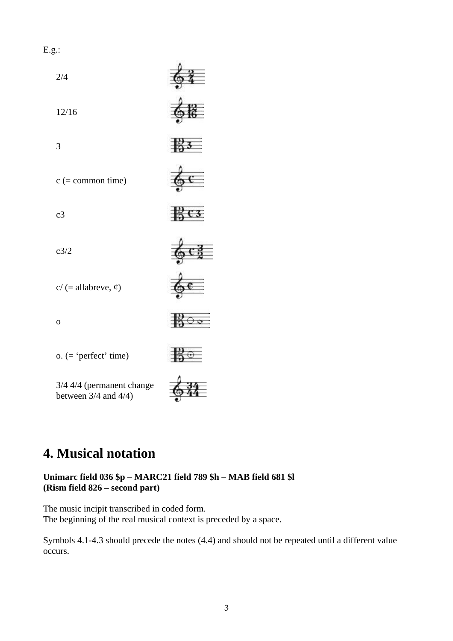E.g.:



## **4. Musical notation**

#### **Unimarc field 036 \$p – MARC21 field 789 \$h – MAB field 681 \$l (Rism field 826 – second part)**

The music incipit transcribed in coded form. The beginning of the real musical context is preceded by a space.

Symbols 4.1-4.3 should precede the notes (4.4) and should not be repeated until a different value occurs.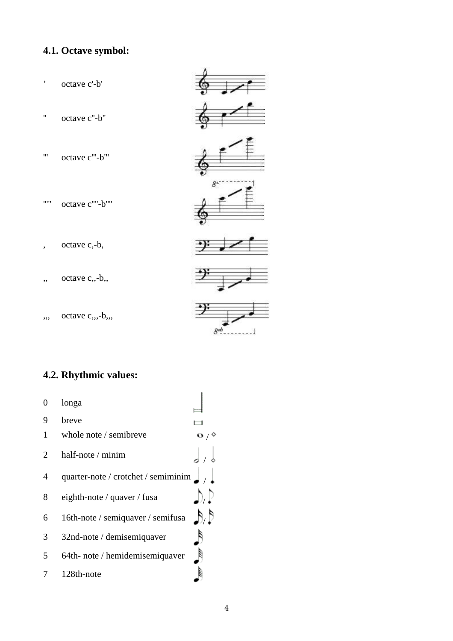### **4.1. Octave symbol:**



### **4.2. Rhythmic values:**

| 0 | longa                               |  |
|---|-------------------------------------|--|
| 9 | breve                               |  |
| 1 | whole note / semibreve              |  |
| 2 | half-note $/$ minim                 |  |
| 4 | quarter-note / crotchet / semiminim |  |
| 8 | eighth-note / quaver / fusa         |  |
| 6 | 16th-note / semiquaver / semifusa   |  |
| 3 | 32nd-note / demisemiquaver          |  |
| 5 | 64th- note / hemidemisemiquaver     |  |
|   | 128th-note                          |  |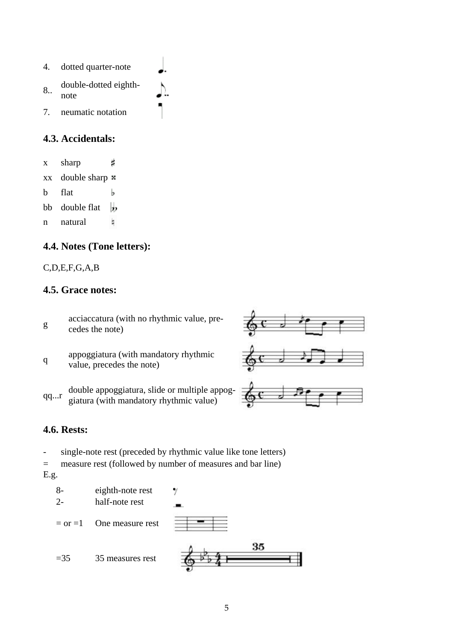4. dotted quarter-note 8.. double-dotted eighthnote 7. neumatic notation

#### **4.3. Accidentals:**

x sharp Ħ  $xx$  double sharp  $\overline{x}$ b flat b bb double flat IJ, b n natural

#### **4.4. Notes (Tone letters):**

#### C,D,E,F,G,A,B

#### **4.5. Grace notes:**

- $g = \n\begin{cases}\n\text{acciaccatura (with no rhythmic value, pre-} \\
\text{ddes the net}\n\end{cases}$ cedes the note)
- q appoggiatura (with mandatory rhythmic value, precedes the note)
- qq...r double appoggiatura, slide or multiple appoggiatura (with mandatory rhythmic value)



#### **4.6. Rests:**

- single-note rest (preceded by rhythmic value like tone letters)

= measure rest (followed by number of measures and bar line)

E.g.

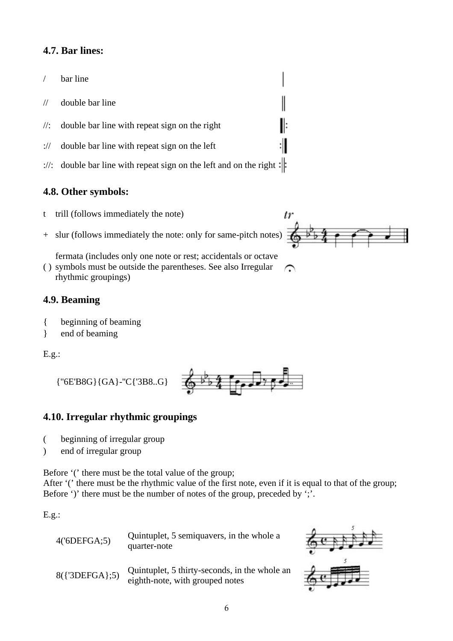#### **4.7. Bar lines:**

- / bar line
- // double bar line
- $\frac{1}{2}$  double bar line with repeat sign on the right
- :// double bar line with repeat sign on the left
- ://: double bar line with repeat sign on the left and on the right :

#### **4.8. Other symbols:**

- t trill (follows immediately the note)
- + slur (follows immediately the note: only for same-pitch notes)

fermata (includes only one note or rest; accidentals or octave

( ) symbols must be outside the parentheses. See also Irregular  $\Omega$ rhythmic groupings)

#### **4.9. Beaming**

- { beginning of beaming
- } end of beaming

E.g.:

{''6E'B8G}{GA}-''C{'3B8..G}



#### **4.10. Irregular rhythmic groupings**

- ( beginning of irregular group
- ) end of irregular group

Before '(' there must be the total value of the group;

After '(' there must be the rhythmic value of the first note, even if it is equal to that of the group; Before ')' there must be the number of notes of the group, preceded by ';'.

E.g.:

| $4$ ('6DEFGA;5)  | Quintuplet, 5 semiquavers, in the whole a<br>quarter-note                        |  |
|------------------|----------------------------------------------------------------------------------|--|
| $8({3DEFGA}; 5)$ | Quintuplet, 5 thirty-seconds, in the whole an<br>eighth-note, with grouped notes |  |



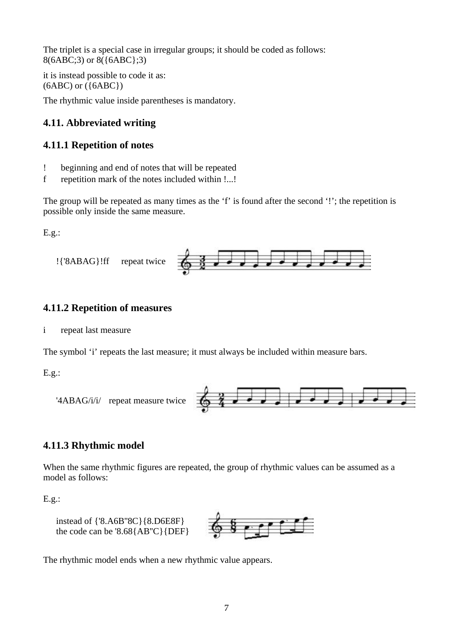The triplet is a special case in irregular groups; it should be coded as follows: 8(6ABC;3) or 8({6ABC};3)

it is instead possible to code it as:  $(6ABC)$  or  $({6ABC})$ 

The rhythmic value inside parentheses is mandatory.

#### **4.11. Abbreviated writing**

#### **4.11.1 Repetition of notes**

- ! beginning and end of notes that will be repeated
- f repetition mark of the notes included within !...!

The group will be repeated as many times as the 'f' is found after the second '!'; the repetition is possible only inside the same measure.

E.g.:



#### **4.11.2 Repetition of measures**

i repeat last measure

The symbol 'i' repeats the last measure; it must always be included within measure bars.

E.g.:



#### **4.11.3 Rhythmic model**

When the same rhythmic figures are repeated, the group of rhythmic values can be assumed as a model as follows:

E.g.:





The rhythmic model ends when a new rhythmic value appears.